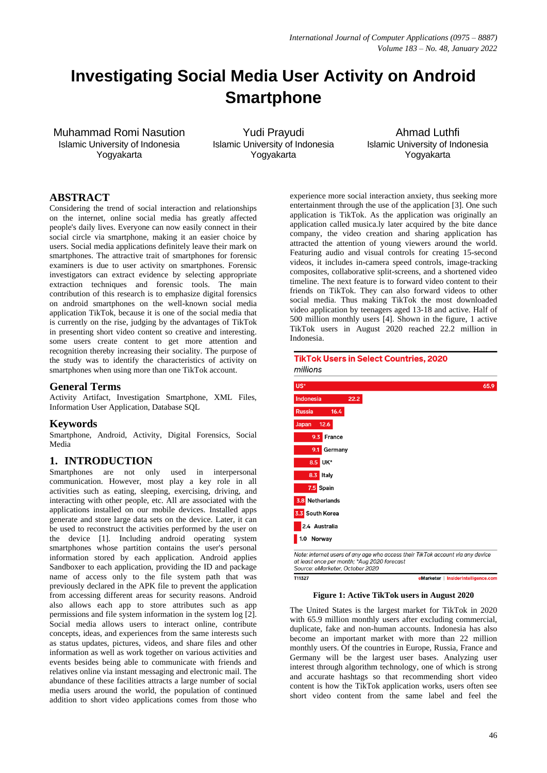# **Investigating Social Media User Activity on Android Smartphone**

Muhammad Romi Nasution Islamic University of Indonesia Yogyakarta

Yudi Prayudi Islamic University of Indonesia Yogyakarta

Ahmad Luthfi Islamic University of Indonesia Yogyakarta

# **ABSTRACT**

Considering the trend of social interaction and relationships on the internet, online social media has greatly affected people's daily lives. Everyone can now easily connect in their social circle via smartphone, making it an easier choice by users. Social media applications definitely leave their mark on smartphones. The attractive trait of smartphones for forensic examiners is due to user activity on smartphones. Forensic investigators can extract evidence by selecting appropriate extraction techniques and forensic tools. The main contribution of this research is to emphasize digital forensics on android smartphones on the well-known social media application TikTok, because it is one of the social media that is currently on the rise, judging by the advantages of TikTok in presenting short video content so creative and interesting. some users create content to get more attention and recognition thereby increasing their sociality. The purpose of the study was to identify the characteristics of activity on smartphones when using more than one TikTok account.

# **General Terms**

Activity Artifact, Investigation Smartphone, XML Files, Information User Application, Database SQL

# **Keywords**

Smartphone, Android, Activity, Digital Forensics, Social Media

# **1. INTRODUCTION**

Smartphones are not only used in interpersonal communication. However, most play a key role in all activities such as eating, sleeping, exercising, driving, and interacting with other people, etc. All are associated with the applications installed on our mobile devices. Installed apps generate and store large data sets on the device. Later, it can be used to reconstruct the activities performed by the user on the device [1]. Including android operating system smartphones whose partition contains the user's personal information stored by each application. Android applies Sandboxer to each application, providing the ID and package name of access only to the file system path that was previously declared in the APK file to prevent the application from accessing different areas for security reasons. Android also allows each app to store attributes such as app permissions and file system information in the system log [2]. Social media allows users to interact online, contribute concepts, ideas, and experiences from the same interests such as status updates, pictures, videos, and share files and other information as well as work together on various activities and events besides being able to communicate with friends and relatives online via instant messaging and electronic mail. The abundance of these facilities attracts a large number of social media users around the world, the population of continued addition to short video applications comes from those who

experience more social interaction anxiety, thus seeking more entertainment through the use of the application [3]. One such application is TikTok. As the application was originally an application called musica.ly later acquired by the bite dance company, the video creation and sharing application has attracted the attention of young viewers around the world. Featuring audio and visual controls for creating 15-second videos, it includes in-camera speed controls, image-tracking composites, collaborative split-screens, and a shortened video timeline. The next feature is to forward video content to their friends on TikTok. They can also forward videos to other social media. Thus making TikTok the most downloaded video application by teenagers aged 13-18 and active. Half of 500 million monthly users [4]. Shown in the figure, 1 active TikTok users in August 2020 reached 22.2 million in Indonesia.

**TikTok Users in Select Countries, 2020** 

| millions                                                                                                                                                         |                                     |
|------------------------------------------------------------------------------------------------------------------------------------------------------------------|-------------------------------------|
| US*                                                                                                                                                              | 65.9                                |
| 22.2<br><b>Indonesia</b>                                                                                                                                         |                                     |
| <b>Russia</b><br>16.4                                                                                                                                            |                                     |
| 12.6<br>Japan                                                                                                                                                    |                                     |
| 9.3 France                                                                                                                                                       |                                     |
| 9.1<br>Germany                                                                                                                                                   |                                     |
| 8.5 UK*                                                                                                                                                          |                                     |
| 8.3 Italy                                                                                                                                                        |                                     |
| 7.5 Spain                                                                                                                                                        |                                     |
| 3.8 Netherlands                                                                                                                                                  |                                     |
| 3.3 South Korea                                                                                                                                                  |                                     |
| 2.4 Australia                                                                                                                                                    |                                     |
| 1.0 Norway                                                                                                                                                       |                                     |
| Note: internet users of any age who access their TikTok account via any device<br>at least once per month; *Aug 2020 forecast<br>Source: eMarketer, October 2020 |                                     |
| T11327                                                                                                                                                           | eMarketer   InsiderIntelligence.com |

### **Figure 1: Active TikTok users in August 2020**

The United States is the largest market for TikTok in 2020 with 65.9 million monthly users after excluding commercial, duplicate, fake and non-human accounts. Indonesia has also become an important market with more than 22 million monthly users. Of the countries in Europe, Russia, France and Germany will be the largest user bases. Analyzing user interest through algorithm technology, one of which is strong and accurate hashtags so that recommending short video content is how the TikTok application works, users often see short video content from the same label and feel the

eMarketer | InsiderIntelligence.com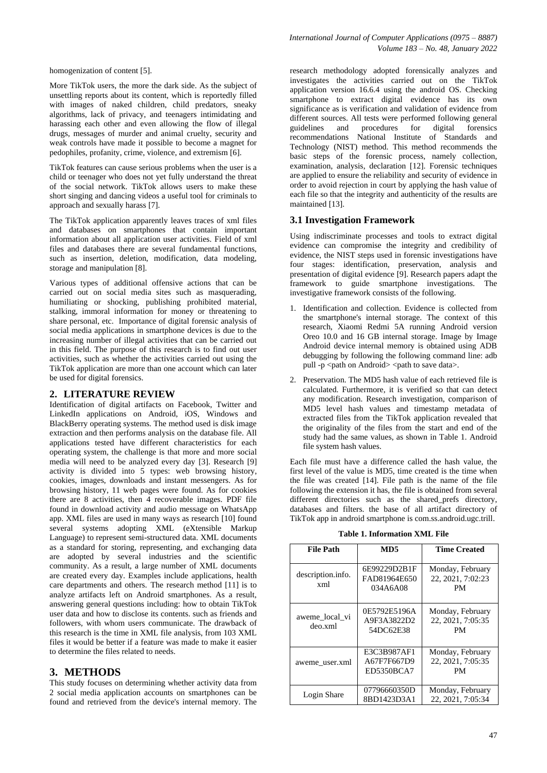More TikTok users, the more the dark side. As the subject of unsettling reports about its content, which is reportedly filled with images of naked children, child predators, sneaky algorithms, lack of privacy, and teenagers intimidating and harassing each other and even allowing the flow of illegal drugs, messages of murder and animal cruelty, security and weak controls have made it possible to become a magnet for pedophiles, profanity, crime, violence, and extremism [6].

TikTok features can cause serious problems when the user is a child or teenager who does not yet fully understand the threat of the social network. TikTok allows users to make these short singing and dancing videos a useful tool for criminals to approach and sexually harass [7].

The TikTok application apparently leaves traces of xml files and databases on smartphones that contain important information about all application user activities. Field of xml files and databases there are several fundamental functions, such as insertion, deletion, modification, data modeling, storage and manipulation [8].

Various types of additional offensive actions that can be carried out on social media sites such as masquerading, humiliating or shocking, publishing prohibited material, stalking, immoral information for money or threatening to share personal, etc. Importance of digital forensic analysis of social media applications in smartphone devices is due to the increasing number of illegal activities that can be carried out in this field. The purpose of this research is to find out user activities, such as whether the activities carried out using the TikTok application are more than one account which can later be used for digital forensics.

### **2. LITERATURE REVIEW**

Identification of digital artifacts on Facebook, Twitter and LinkedIn applications on Android, iOS, Windows and BlackBerry operating systems. The method used is disk image extraction and then performs analysis on the database file. All applications tested have different characteristics for each operating system, the challenge is that more and more social media will need to be analyzed every day [3]. Research [9] activity is divided into 5 types: web browsing history, cookies, images, downloads and instant messengers. As for browsing history, 11 web pages were found. As for cookies there are 8 activities, then 4 recoverable images. PDF file found in download activity and audio message on WhatsApp app. XML files are used in many ways as research [10] found several systems adopting XML (eXtensible Markup Language) to represent semi-structured data. XML documents as a standard for storing, representing, and exchanging data are adopted by several industries and the scientific community. As a result, a large number of XML documents are created every day. Examples include applications, health care departments and others. The research method [11] is to analyze artifacts left on Android smartphones. As a result, answering general questions including: how to obtain TikTok user data and how to disclose its contents. such as friends and followers, with whom users communicate. The drawback of this research is the time in XML file analysis, from 103 XML files it would be better if a feature was made to make it easier to determine the files related to needs.

### **3. METHODS**

This study focuses on determining whether activity data from 2 social media application accounts on smartphones can be found and retrieved from the device's internal memory. The

research methodology adopted forensically analyzes and investigates the activities carried out on the TikTok application version 16.6.4 using the android OS. Checking smartphone to extract digital evidence has its own significance as is verification and validation of evidence from different sources. All tests were performed following general guidelines and procedures for digital forensics recommendations National Institute of Standards and Technology (NIST) method. This method recommends the basic steps of the forensic process, namely collection, examination, analysis, declaration [12]. Forensic techniques are applied to ensure the reliability and security of evidence in order to avoid rejection in court by applying the hash value of each file so that the integrity and authenticity of the results are maintained [13].

### **3.1 Investigation Framework**

Using indiscriminate processes and tools to extract digital evidence can compromise the integrity and credibility of evidence, the NIST steps used in forensic investigations have four stages: identification, preservation, analysis and presentation of digital evidence [9]. Research papers adapt the framework to guide smartphone investigations. The investigative framework consists of the following.

- 1. Identification and collection. Evidence is collected from the smartphone's internal storage. The context of this research, Xiaomi Redmi 5A running Android version Oreo 10.0 and 16 GB internal storage. Image by Image Android device internal memory is obtained using ADB debugging by following the following command line: adb pull -p  $\epsilon$  path on Android $\epsilon$   $\epsilon$   $\epsilon$  at to save data  $\epsilon$ .
- 2. Preservation. The MD5 hash value of each retrieved file is calculated. Furthermore, it is verified so that can detect any modification. Research investigation, comparison of MD5 level hash values and timestamp metadata of extracted files from the TikTok application revealed that the originality of the files from the start and end of the study had the same values, as shown in Table 1. Android file system hash values.

Each file must have a difference called the hash value, the first level of the value is MD5, time created is the time when the file was created [14]. File path is the name of the file following the extension it has, the file is obtained from several different directories such as the shared prefs directory, databases and filters. the base of all artifact directory of TikTok app in android smartphone is com.ss.android.ugc.trill.

| <b>File Path</b>          | MD5                                      | <b>Time Created</b>                                |
|---------------------------|------------------------------------------|----------------------------------------------------|
| description.info.<br>xml  | 6E99229D2B1F<br>FAD81964E650<br>034A6A08 | Monday, February<br>22, 2021, 7:02:23<br><b>PM</b> |
| aweme local vi<br>deo.xml | 0E5792E5196A<br>A9F3A3822D2<br>54DC62E38 | Monday, February<br>22, 2021, 7:05:35<br>PМ        |
| aweme user.xml            | E3C3B987AF1<br>A67F7F667D9<br>ED5350BCA7 | Monday, February<br>22, 2021, 7:05:35<br>PМ        |
| Login Share               | 07796660350D<br>8BD1423D3A1              | Monday, February<br>22, 2021, 7:05:34              |

**Table 1. Information XML File**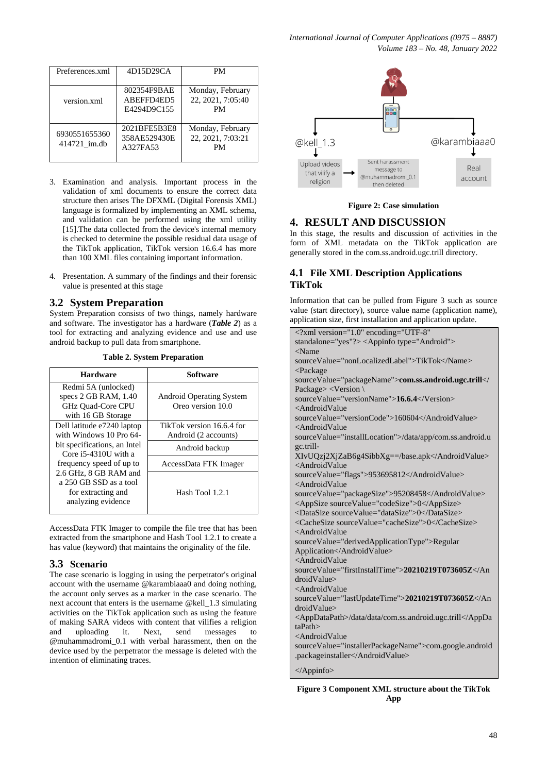| Preferences.xml               | 4D15D29CA                                | PМ                                          |
|-------------------------------|------------------------------------------|---------------------------------------------|
| version.xml                   | 802354F9BAE<br>ABEFFD4ED5<br>E4294D9C155 | Monday, February<br>22, 2021, 7:05:40<br>PM |
| 6930551655360<br>414721 im.db | 2021BFE5B3E8<br>358AE529430E<br>A327FA53 | Monday, February<br>22, 2021, 7:03:21<br>PM |

- 3. Examination and analysis. Important process in the validation of xml documents to ensure the correct data structure then arises The DFXML (Digital Forensis XML) language is formalized by implementing an XML schema, and validation can be performed using the xml utility [15]. The data collected from the device's internal memory is checked to determine the possible residual data usage of the TikTok application, TikTok version 16.6.4 has more than 100 XML files containing important information.
- 4. Presentation. A summary of the findings and their forensic value is presented at this stage

# **3.2 System Preparation**

System Preparation consists of two things, namely hardware and software. The investigator has a hardware (*Table 2*) as a tool for extracting and analyzing evidence and use and use android backup to pull data from smartphone.

| <b>Hardware</b>                                        | Software                        |
|--------------------------------------------------------|---------------------------------|
| Redmi 5A (unlocked)                                    |                                 |
| specs $2$ GB RAM, $1.40$                               | <b>Android Operating System</b> |
| GHz Quad-Core CPU                                      | Oreo version 10.0               |
| with 16 GB Storage                                     |                                 |
| Dell latitude e7240 laptop                             | TikTok version 16.6.4 for       |
| with Windows 10 Pro 64-                                | Android (2 accounts)            |
| bit specifications, an Intel<br>Core $i5-4310U$ with a | Android backup                  |
| frequency speed of up to                               | AccessData FTK Imager           |
| 2.6 GHz, 8 GB RAM and                                  |                                 |
| a 250 GB SSD as a tool                                 |                                 |
| for extracting and                                     | Hash Tool 1.2.1                 |
| analyzing evidence                                     |                                 |

**Table 2. System Preparation**

AccessData FTK Imager to compile the file tree that has been extracted from the smartphone and Hash Tool 1.2.1 to create a has value (keyword) that maintains the originality of the file.

# **3.3 Scenario**

The case scenario is logging in using the perpetrator's original account with the username @karambiaaa0 and doing nothing, the account only serves as a marker in the case scenario. The next account that enters is the username @kell\_1.3 simulating activities on the TikTok application such as using the feature of making SARA videos with content that vilifies a religion and uploading it. Next, send messages to @muhammadromi\_0.1 with verbal harassment, then on the device used by the perpetrator the message is deleted with the intention of eliminating traces.



**Figure 2: Case simulation**

# **4. RESULT AND DISCUSSION**

In this stage, the results and discussion of activities in the form of XML metadata on the TikTok application are generally stored in the com.ss.android.ugc.trill directory.

# **4.1 File XML Description Applications TikTok**

Information that can be pulled from Figure 3 such as source value (start directory), source value name (application name), application size, first installation and application update.

| xml version="1.0" encoding="UTF-8"</th                         |
|----------------------------------------------------------------|
| standalone="yes"?> <appinfo type="Android"></appinfo>          |
| $<$ Name                                                       |
| sourceValue="nonLocalizedLabel">TikTok                         |
| <package< td=""></package<>                                    |
| sourceValue="packageName">com.ss.android.ugc.trill </td        |
| Package> <version \<="" td=""></version>                       |
| sourceValue="versionName">16.6.4                               |
| <androidvalue< td=""></androidvalue<>                          |
| sourceValue="versionCode">160604                               |
| <androidvalue< td=""></androidvalue<>                          |
| sourceValue="installLocation">/data/app/com.ss.android.u       |
| gc.trill-                                                      |
| XIvUQzj2XjZaB6g4SibbXg==/base.apk                              |
| <androidvalue< td=""></androidvalue<>                          |
| sourceValue="flags">953695812                                  |
| <androidvalue< td=""></androidvalue<>                          |
| sourceValue="packageSize">95208458                             |
| <appsize sourcevalue="codeSize">0</appsize>                    |
| <datasize sourcevalue="dataSize">0</datasize>                  |
| <cachesize sourcevalue="cacheSize">0</cachesize>               |
| <androidvalue< td=""></androidvalue<>                          |
| sourceValue="derivedApplicationType">Regular                   |
| Application                                                    |
| <androidvalue< td=""></androidvalue<>                          |
| sourceValue="firstInstallTime">20210219T073605Z                |
| droidValue                                                     |
| <androidvalue< td=""></androidvalue<>                          |
| sourceValue="lastUpdateTime">20210219T073605Z                  |
| droidValue>                                                    |
| <appdatapath>/data/data/com.ss.android.ugc.trill</appdatapath> |
| taPath                                                         |
| <androidvalue< td=""></androidvalue<>                          |
| sourceValue="installerPackageName">com.google.android          |
| .packageinstaller                                              |
| $\triangle$ Appinfo>                                           |
|                                                                |

**Figure 3 Component XML structure about the TikTok App**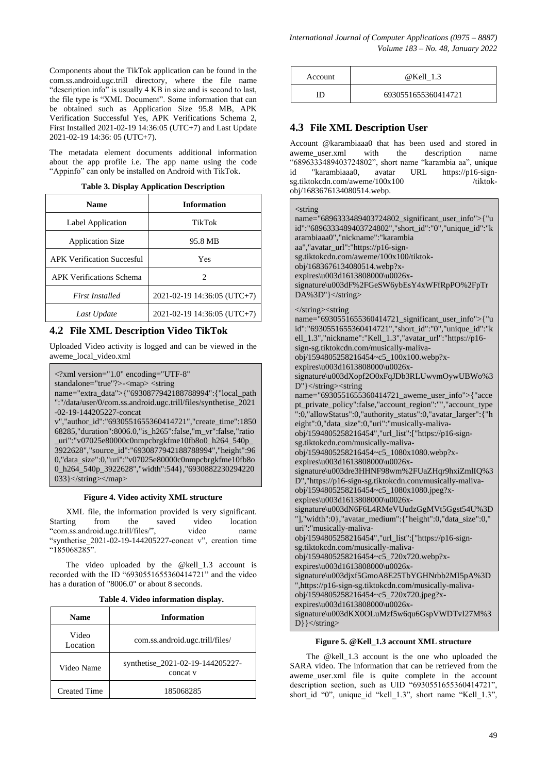Components about the TikTok application can be found in the com.ss.android.ugc.trill directory, where the file name "description.info" is usually 4 KB in size and is second to last, the file type is "XML Document". Some information that can be obtained such as Application Size 95.8 MB, APK Verification Successful Yes, APK Verifications Schema 2, First Installed 2021-02-19 14:36:05 (UTC+7) and Last Update 2021-02-19 14:36: 05 (UTC+7).

The metadata element documents additional information about the app profile i.e. The app name using the code "Appinfo" can only be installed on Android with TikTok.

**Table 3. Display Application Description**

| <b>Name</b>                       | <b>Information</b>          |  |  |
|-----------------------------------|-----------------------------|--|--|
| Label Application                 | TikTok                      |  |  |
| <b>Application Size</b>           | 95.8 MB                     |  |  |
| <b>APK Verification Succesful</b> | Yes                         |  |  |
| <b>APK Verifications Schema</b>   | 2                           |  |  |
| <b>First Installed</b>            | 2021-02-19 14:36:05 (UTC+7) |  |  |
| Last Update                       | 2021-02-19 14:36:05 (UTC+7) |  |  |

# **4.2 File XML Description Video TikTok**

Uploaded Video activity is logged and can be viewed in the aweme\_local\_video.xml

<?xml version="1.0" encoding="UTF-8"

standalone="true"?>-<map> <string

name="extra\_data">{"6930877942188788994":{"local\_path ":"/data/user/0/com.ss.android.ugc.trill/files/synthetise\_2021 -02-19-144205227-concat

v","author\_id":"6930551655360414721","create\_time":1850 68285,"duration":8006.0,"is\_h265":false,"m\_vr":false,"ratio uri":"v07025e80000c0nmpcbrgkfme10fb8o0\_h264\_540p 3922628","source\_id":"6930877942188788994","height":96 0,"data\_size":0,"uri":"v07025e80000c0nmpcbrgkfme10fb8o 0\_h264\_540p\_3922628","width":544},"6930882230294220 033}</string></map>

### **Figure 4. Video activity XML structure**

XML file, the information provided is very significant. Starting from the saved video location "com.ss.android.ugc.trill/files/", video name "synthetise  $2021-02-19-144205227$ -concat v", creation time  $"185068285"$ 

The video uploaded by the @kell\_1.3 account is recorded with the ID "6930551655360414721" and the video has a duration of "8006.0" or about 8 seconds.

**Table 4. Video information display.**

| <b>Name</b>         | <b>Information</b>                           |  |
|---------------------|----------------------------------------------|--|
| Video<br>Location   | com.ss.android.ugc.trill/files/              |  |
| Video Name          | synthetise_2021-02-19-144205227-<br>concat y |  |
| <b>Created Time</b> | 185068285                                    |  |

| Account | @Kell 1.3           |
|---------|---------------------|
|         | 6930551655360414721 |

# **4.3 File XML Description User**

Account @karambiaaa0 that has been used and stored in aweme user.xml with the description name "6896333489403724802", short name"karambia aa", unique id "karambiaaa0, avatar URL https://p16-signsg.tiktokcdn.com/aweme/100x100 /tiktokobj/1683676134080514.webp.

<string

| <ыш≌<br>name="6896333489403724802_significant_user_info">{"u<br>id":"6896333489403724802","short_id":"0","unique_id":"k<br>arambiaaa0","nickname":"karambia<br>aa","avatar_url":"https://p16-sign-<br>sg.tiktokcdn.com/aweme/100x100/tiktok-<br>obj/1683676134080514.webp?x-<br>expires\u003d1613808000\u0026x-<br>signature\u003dF%2FGeSW6ybEsY4xWFfRpPO%2FpTr<br>DA%3D"} |
|----------------------------------------------------------------------------------------------------------------------------------------------------------------------------------------------------------------------------------------------------------------------------------------------------------------------------------------------------------------------------|
| $\langle$ string $>\langle$ string<br>name="6930551655360414721_significant_user_info">{"u<br>id":"6930551655360414721","short_id":"0","unique_id":"k<br>ell_1.3","nickname":"Kell_1.3","avatar_url":"https://p16-<br>sign-sg.tiktokcdn.com/musically-maliva-                                                                                                              |
| obj/1594805258216454~c5_100x100.webp?x-                                                                                                                                                                                                                                                                                                                                    |
| expires\u003d1613808000\u0026x-                                                                                                                                                                                                                                                                                                                                            |
| signature\u003dXopf2O0xFqJDb3RLUwvmOywUBWo%3                                                                                                                                                                                                                                                                                                                               |
| $D''$ $\le$ /string> $\le$ string                                                                                                                                                                                                                                                                                                                                          |
| name="6930551655360414721_aweme_user_info">{"acce                                                                                                                                                                                                                                                                                                                          |
| pt_private_policy":false,"account_region":"","account_type<br>":0,"allowStatus":0,"authority_status":0,"avatar_larger":{"h                                                                                                                                                                                                                                                 |
|                                                                                                                                                                                                                                                                                                                                                                            |
| eight":0,"data_size":0,"uri":"musically-maliva-                                                                                                                                                                                                                                                                                                                            |
| obj/1594805258216454","url_list":["https://p16-sign-                                                                                                                                                                                                                                                                                                                       |
| sg.tiktokcdn.com/musically-maliva-                                                                                                                                                                                                                                                                                                                                         |
| obj/1594805258216454~c5_1080x1080.webp?x-                                                                                                                                                                                                                                                                                                                                  |
| expires\u003d1613808000\u0026x-                                                                                                                                                                                                                                                                                                                                            |
| signature\u003dre3HHNF98wm%2FUaZHqr9hxiZmlIQ%3                                                                                                                                                                                                                                                                                                                             |
| D","https://p16-sign-sg.tiktokcdn.com/musically-maliva-                                                                                                                                                                                                                                                                                                                    |
| obj/1594805258216454~c5_1080x1080.jpeg?x-                                                                                                                                                                                                                                                                                                                                  |
| expires\u003d1613808000\u0026x-                                                                                                                                                                                                                                                                                                                                            |
| signature\u003dN6F6L4RMeVUudzGgMVt5Ggst54U%3D                                                                                                                                                                                                                                                                                                                              |
| "], "width":0}, "avatar_medium": { "height":0, "data_size":0,"                                                                                                                                                                                                                                                                                                             |
| uri":"musically-maliva-                                                                                                                                                                                                                                                                                                                                                    |
| obj/1594805258216454","url_list":["https://p16-sign-                                                                                                                                                                                                                                                                                                                       |
| sg.tiktokcdn.com/musically-maliva-                                                                                                                                                                                                                                                                                                                                         |
| obj/1594805258216454~c5_720x720.webp?x-                                                                                                                                                                                                                                                                                                                                    |
| expires\u003d1613808000\u0026x-                                                                                                                                                                                                                                                                                                                                            |
| signature\u003djxf5GmoA8E25TbYGHNrbb2MI5pA%3D                                                                                                                                                                                                                                                                                                                              |
| ",https://p16-sign-sg.tiktokcdn.com/musically-maliva-                                                                                                                                                                                                                                                                                                                      |
| obj/1594805258216454~c5_720x720.jpeg?x-                                                                                                                                                                                                                                                                                                                                    |
| expires\u003d1613808000\u0026x-                                                                                                                                                                                                                                                                                                                                            |
| signature\u003dKX0OLuMzf5w6qu6GspVWDTvI27M%3                                                                                                                                                                                                                                                                                                                               |
| $D\}$ $\ll$ string>                                                                                                                                                                                                                                                                                                                                                        |

#### **Figure 5. @Kell\_1.3 account XML structure**

The @kell\_1.3 account is the one who uploaded the SARA video. The information that can be retrieved from the aweme\_user.xml file is quite complete in the account description section, such as UID "6930551655360414721" short id "0", unique id "kell\_1.3", short name "Kell\_1.3",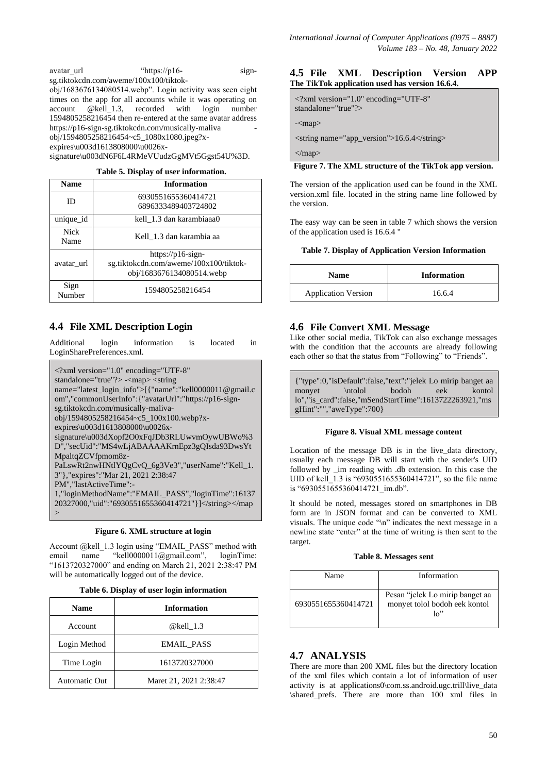avatar url "https://p16- signsg.tiktokcdn.com/aweme/100x100/tiktok $obj/1683676134080514$ .webp". Login activity was seen eight times on the app for all accounts while it was operating on account @kell 1.3, recorded with login number 1594805258216454 then re-entered at the same avatar address https://p16-sign-sg.tiktokcdn.com/musically-maliva obj/1594805258216454~c5\_1080x1080.jpeg?xexpires\u003d1613808000\u0026xsignature\u003dN6F6L4RMeVUudzGgMVt5Ggst54U%3D.

**Table 5. Display of user information.**

| <b>Name</b>         | <b>Information</b>                                                                       |  |  |
|---------------------|------------------------------------------------------------------------------------------|--|--|
| ID                  | 6930551655360414721<br>6896333489403724802                                               |  |  |
| unique id           | kell 1.3 dan karambiaaa0                                                                 |  |  |
| <b>Nick</b><br>Name | Kell 1.3 dan karambia aa                                                                 |  |  |
| avatar url          | https://p16-sign-<br>sg.tiktokcdn.com/aweme/100x100/tiktok-<br>obj/1683676134080514.webp |  |  |
| Sign<br>Number      | 1594805258216454                                                                         |  |  |

# **4.4 File XML Description Login**

Additional login information is located in LoginSharePreferences.xml.

| $\langle$ 2xml version="1.0" encoding="UTF-8"               |  |  |  |
|-------------------------------------------------------------|--|--|--|
| standalone="true"?> - <map> <string< td=""></string<></map> |  |  |  |
| name="latest_login_info">[{"name":"kell0000011@gmail.c      |  |  |  |
| om","commonUserInfo":{"avatarUrl":"https://p16-sign-        |  |  |  |
| sg.tiktokcdn.com/musically-maliva-                          |  |  |  |
| obj/1594805258216454~c5 100x100.webp?x-                     |  |  |  |
| expires\u003d1613808000\u0026x-                             |  |  |  |
| signature\u003dXopf2O0xFqJDb3RLUwvmOywUBWo%3                |  |  |  |
| D","secUid":"MS4wLjABAAAAKrnEpz3gQIsda93DwsYt               |  |  |  |
| MpaltqZCVfpmom8z-                                           |  |  |  |
| PaLswRt2nwHNtlYQgCvQ_6g3Ve3","userName":"Kell_1.            |  |  |  |
| 3"},"expires":"Mar 21, 2021 2:38:47                         |  |  |  |
| PM","lastActiveTime":-                                      |  |  |  |
| 1, "loginMethodName": "EMAIL_PASS", "loginTime":16137       |  |  |  |
| 20327000,"uid":"6930551655360414721"}]                      |  |  |  |
| $\check{ }$                                                 |  |  |  |

### **Figure 6. XML structure at login**

Account @kell\_1.3 login using "EMAIL\_PASS" method with email name "kell0000011@gmail.com", loginTime: "1613720327000" and ending on March 21, 2021 2:38:47 PM will be automatically logged out of the device.

|  |  | Table 6. Display of user login information |
|--|--|--------------------------------------------|
|  |  |                                            |

| <b>Name</b>   | <b>Information</b>     |
|---------------|------------------------|
| Account       | @kell 1.3              |
| Login Method  | <b>EMAIL PASS</b>      |
| Time Login    | 1613720327000          |
| Automatic Out | Maret 21, 2021 2:38:47 |

## **4.5 File XML Description Version APP The TikTok application used has version 16.6.4.**

<?xml version="1.0" encoding="UTF-8" standalone="true"?>

-<map>

<string name="app\_version">16.6.4</string>

 $<$ /map>

### **Figure 7. The XML structure of the TikTok app version.**

The version of the application used can be found in the XML version.xml file. located in the string name line followed by the version.

The easy way can be seen in table 7 which shows the version of the application used is 16.6.4 "

### **Table 7. Display of Application Version Information**

| <b>Name</b>                | <b>Information</b> |
|----------------------------|--------------------|
| <b>Application Version</b> | 16.6.4             |

# **4.6 File Convert XML Message**

Like other social media, TikTok can also exchange messages with the condition that the accounts are already following each other so that the status from "Following" to "Friends".

{"type":0,"isDefault":false,"text":"jelek Lo mirip banget aa monyet \ntolol bodoh eek kontol lo","is\_card":false,"mSendStartTime":1613722263921,"ms gHint":"","aweType":700}

### **Figure 8. Visual XML message content**

Location of the message DB is in the live\_data directory, usually each message DB will start with the sender's UID followed by \_im reading with .db extension. In this case the UID of kell 1.3 is "6930551655360414721", so the file name is "6930551655360414721\_im.db".

It should be noted, messages stored on smartphones in DB form are in JSON format and can be converted to XML visuals. The unique code " $\langle n \rangle$ " indicates the next message in a newline state "enter" at the time of writing is then sent to the target.

### **Table 8. Messages sent**

| Name                | Information                                                            |
|---------------------|------------------------------------------------------------------------|
| 6930551655360414721 | Pesan "jelek Lo mirip banget aa<br>monyet tolol bodoh eek kontol<br>10 |

# **4.7 ANALYSIS**

There are more than 200 XML files but the directory location of the xml files which contain a lot of information of user activity is at applications0\com.ss.android.ugc.trill\live\_data \shared\_prefs. There are more than 100 xml files in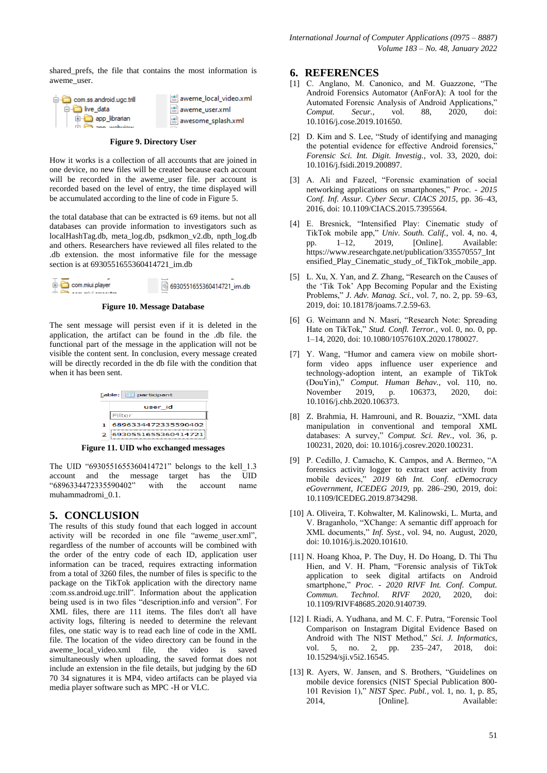shared\_prefs, the file that contains the most information is aweme\_user.

> aweme\_local\_video.xml <sup>း ချ</sup>ောက် ဆေး awesome\_splash.xml

| com.ss.android.ugc.trill |
|--------------------------|
| ⊟ inve data              |
| app librarian            |
|                          |

#### **Figure 9. Directory User**

How it works is a collection of all accounts that are joined in one device, no new files will be created because each account will be recorded in the aweme\_user file. per account is recorded based on the level of entry, the time displayed will be accumulated according to the line of code in Figure 5.

the total database that can be extracted is 69 items. but not all databases can provide information to investigators such as localHashTag.db, meta\_log.db, psdkmon\_v2.db, npth\_log.db and others. Researchers have reviewed all files related to the .db extension. the most informative file for the message section is at 6930551655360414721\_im.db



### **Figure 10. Message Database**

The sent message will persist even if it is deleted in the application, the artifact can be found in the .db file. the functional part of the message in the application will not be visible the content sent. In conclusion, every message created will be directly recorded in the db file with the condition that when it has been sent.

| Table: <b>Fig. participant</b> |                     |  |  |
|--------------------------------|---------------------|--|--|
|                                | user id             |  |  |
|                                | Filter              |  |  |
|                                | 6896334472335590402 |  |  |
|                                | 6930551655360414721 |  |  |

**Figure 11. UID who exchanged messages**

The UID "6930551655360414721" belongs to the kell\_1.3 account and the message target has the UID "6896334472335590402" with the account name muhammadromi\_0.1.

# **5. CONCLUSION**

The results of this study found that each logged in account activity will be recorded in one file "aweme user.xml", regardless of the number of accounts will be combined with the order of the entry code of each ID, application user information can be traced, requires extracting information from a total of 3260 files, the number of files is specific to the package on the TikTok application with the directory name :com.ss.android.ugc.trill". Information about the application being used is in two files "description.info and version". For XML files, there are 111 items. The files don't all have activity logs, filtering is needed to determine the relevant files, one static way is to read each line of code in the XML file. The location of the video directory can be found in the aweme local video.xml file, the video is saved simultaneously when uploading, the saved format does not include an extension in the file details, but judging by the 6D 70 34 signatures it is MP4, video artifacts can be played via media player software such as MPC -H or VLC.

### **6. REFERENCES**

- [1] C. Anglano, M. Canonico, and M. Guazzone, "The Android Forensics Automator (AnForA): A tool for the Automated Forensic Analysis of Android Applications," *Comput. Secur.*, vol. 88, 2020, doi: 10.1016/j.cose.2019.101650.
- [2] D. Kim and S. Lee, "Study of identifying and managing the potential evidence for effective Android forensics,' *Forensic Sci. Int. Digit. Investig.*, vol. 33, 2020, doi: 10.1016/j.fsidi.2019.200897.
- [3] A. Ali and Fazeel, "Forensic examination of social networking applications on smartphones," *Proc. - 2015 Conf. Inf. Assur. Cyber Secur. CIACS 2015*, pp. 36–43, 2016, doi: 10.1109/CIACS.2015.7395564.
- [4] E. Bresnick, "Intensified Play: Cinematic study of TikTok mobile app," *Univ. South. Calif.*, vol. 4, no. 4, pp. 1–12, 2019, [Online]. Available: https://www.researchgate.net/publication/335570557\_Int ensified\_Play\_Cinematic\_study\_of\_TikTok\_mobile\_app.
- [5] L. Xu, X. Yan, and Z. Zhang, "Research on the Causes of the "Tik Tok" App Becoming Popular and the Existing Problems,"*J. Adv. Manag. Sci.*, vol. 7, no. 2, pp. 59–63, 2019, doi: 10.18178/joams.7.2.59-63.
- [6] G.Weimann and N. Masri, "Research Note: Spreading Hate on TikTok," Stud. Confl. Terror., vol. 0, no. 0, pp. 1–14, 2020, doi: 10.1080/1057610X.2020.1780027.
- [7] Y. Wang, "Humor and camera view on mobile shortform video apps influence user experience and technology-adoption intent, an example of TikTok (DouYin)," *Comput. Human Behav.*, vol. 110, no. November 2019, p. 106373, 2020, doi: 10.1016/j.chb.2020.106373.
- [8] Z. Brahmia, H. Hamrouni, and R. Bouaziz, "XML data manipulation in conventional and temporal XML databases: A survey," *Comput. Sci. Rev.*, vol. 36, p. 100231, 2020, doi: 10.1016/j.cosrev.2020.100231.
- [9] P. Cedillo, J. Camacho, K. Campos, and A. Bermeo, "A forensics activity logger to extract user activity from mobile devices," *2019 6th Int. Conf. eDemocracy eGovernment, ICEDEG 2019*, pp. 286–290, 2019, doi: 10.1109/ICEDEG.2019.8734298.
- [10] A. Oliveira, T. Kohwalter, M. Kalinowski, L. Murta, and V. Braganholo, "XChange: A semantic diff approach for XML documents,"*Inf. Syst.*, vol. 94, no. August, 2020, doi: 10.1016/j.is.2020.101610.
- [11] N. Hoang Khoa, P. The Duy, H. Do Hoang, D. Thi Thu Hien, and V. H. Pham, "Forensic analysis of TikTok application to seek digital artifacts on Android smartphone," *Proc. - 2020 RIVF Int. Conf. Comput. Commun. Technol. RIVF 2020*, 2020, doi: 10.1109/RIVF48685.2020.9140739.
- [12] I. Riadi, A. Yudhana, and M. C. F. Putra, "Forensic Tool Comparison on Instagram Digital Evidence Based on Android with The NIST Method," *Sci. J. Informatics*, vol. 5, no. 2, pp. 235–247, 2018, doi: 10.15294/sji.v5i2.16545.
- [13] R. Ayers, W. Jansen, and S. Brothers, "Guidelines on mobile device forensics (NIST Special Publication 800- 101Revision1),"*NIST Spec. Publ.*, vol. 1, no. 1, p. 85, 2014, [Online]. Available: